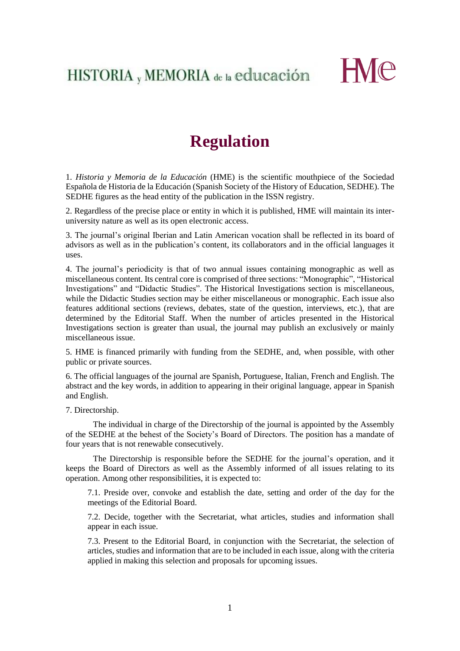HISTORIA, MEMORIA de la educación



## **Regulation**

1. *Historia y Memoria de la Educación* (HME) is the scientific mouthpiece of the Sociedad Española de Historia de la Educación (Spanish Society of the History of Education, SEDHE). The SEDHE figures as the head entity of the publication in the ISSN registry.

2. Regardless of the precise place or entity in which it is published, HME will maintain its interuniversity nature as well as its open electronic access.

3. The journal's original Iberian and Latin American vocation shall be reflected in its board of advisors as well as in the publication's content, its collaborators and in the official languages it uses.

4. The journal's periodicity is that of two annual issues containing monographic as well as miscellaneous content. Its central core is comprised of three sections: "Monographic", "Historical Investigations" and "Didactic Studies". The Historical Investigations section is miscellaneous, while the Didactic Studies section may be either miscellaneous or monographic. Each issue also features additional sections (reviews, debates, state of the question, interviews, etc.), that are determined by the Editorial Staff. When the number of articles presented in the Historical Investigations section is greater than usual, the journal may publish an exclusively or mainly miscellaneous issue.

5. HME is financed primarily with funding from the SEDHE, and, when possible, with other public or private sources.

6. The official languages of the journal are Spanish, Portuguese, Italian, French and English. The abstract and the key words, in addition to appearing in their original language, appear in Spanish and English.

7. Directorship.

The individual in charge of the Directorship of the journal is appointed by the Assembly of the SEDHE at the behest of the Society's Board of Directors. The position has a mandate of four years that is not renewable consecutively.

The Directorship is responsible before the SEDHE for the journal's operation, and it keeps the Board of Directors as well as the Assembly informed of all issues relating to its operation. Among other responsibilities, it is expected to:

7.1. Preside over, convoke and establish the date, setting and order of the day for the meetings of the Editorial Board.

7.2. Decide, together with the Secretariat, what articles, studies and information shall appear in each issue.

7.3. Present to the Editorial Board, in conjunction with the Secretariat, the selection of articles, studies and information that are to be included in each issue, along with the criteria applied in making this selection and proposals for upcoming issues.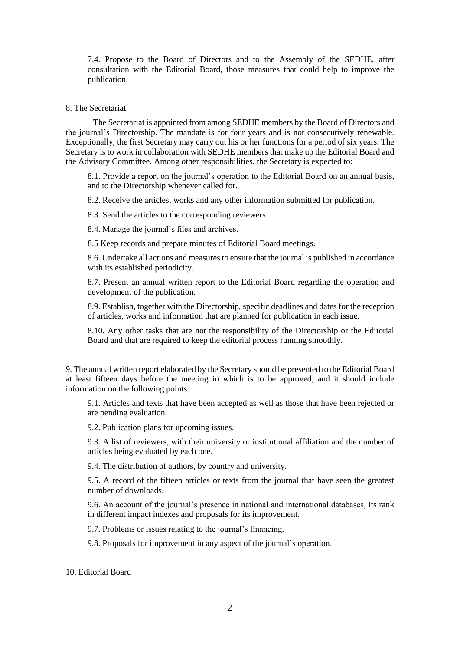7.4. Propose to the Board of Directors and to the Assembly of the SEDHE, after consultation with the Editorial Board, those measures that could help to improve the publication.

## 8. The Secretariat.

The Secretariat is appointed from among SEDHE members by the Board of Directors and the journal's Directorship. The mandate is for four years and is not consecutively renewable. Exceptionally, the first Secretary may carry out his or her functions for a period of six years. The Secretary is to work in collaboration with SEDHE members that make up the Editorial Board and the Advisory Committee. Among other responsibilities, the Secretary is expected to:

8.1. Provide a report on the journal's operation to the Editorial Board on an annual basis, and to the Directorship whenever called for.

8.2. Receive the articles, works and any other information submitted for publication.

8.3. Send the articles to the corresponding reviewers.

8.4. Manage the journal's files and archives.

8.5 Keep records and prepare minutes of Editorial Board meetings.

8.6. Undertake all actions and measures to ensure that the journal is published in accordance with its established periodicity.

8.7. Present an annual written report to the Editorial Board regarding the operation and development of the publication.

8.9. Establish, together with the Directorship, specific deadlines and dates for the reception of articles, works and information that are planned for publication in each issue.

8.10. Any other tasks that are not the responsibility of the Directorship or the Editorial Board and that are required to keep the editorial process running smoothly.

9. The annual written report elaborated by the Secretary should be presented to the Editorial Board at least fifteen days before the meeting in which is to be approved, and it should include information on the following points:

9.1. Articles and texts that have been accepted as well as those that have been rejected or are pending evaluation.

9.2. Publication plans for upcoming issues.

9.3. A list of reviewers, with their university or institutional affiliation and the number of articles being evaluated by each one.

9.4. The distribution of authors, by country and university.

9.5. A record of the fifteen articles or texts from the journal that have seen the greatest number of downloads.

9.6. An account of the journal's presence in national and international databases, its rank in different impact indexes and proposals for its improvement.

9.7. Problems or issues relating to the journal's financing.

9.8. Proposals for improvement in any aspect of the journal's operation.

## 10. Editorial Board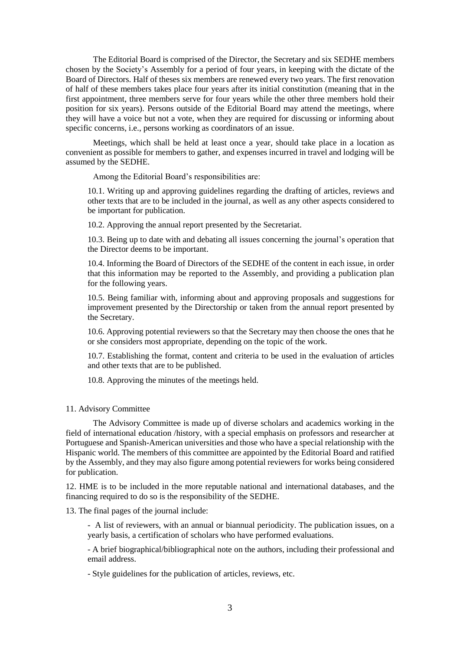The Editorial Board is comprised of the Director, the Secretary and six SEDHE members chosen by the Society's Assembly for a period of four years, in keeping with the dictate of the Board of Directors. Half of theses six members are renewed every two years. The first renovation of half of these members takes place four years after its initial constitution (meaning that in the first appointment, three members serve for four years while the other three members hold their position for six years). Persons outside of the Editorial Board may attend the meetings, where they will have a voice but not a vote, when they are required for discussing or informing about specific concerns, i.e., persons working as coordinators of an issue.

Meetings, which shall be held at least once a year, should take place in a location as convenient as possible for members to gather, and expenses incurred in travel and lodging will be assumed by the SEDHE.

Among the Editorial Board's responsibilities are:

10.1. Writing up and approving guidelines regarding the drafting of articles, reviews and other texts that are to be included in the journal, as well as any other aspects considered to be important for publication.

10.2. Approving the annual report presented by the Secretariat.

10.3. Being up to date with and debating all issues concerning the journal's operation that the Director deems to be important.

10.4. Informing the Board of Directors of the SEDHE of the content in each issue, in order that this information may be reported to the Assembly, and providing a publication plan for the following years.

10.5. Being familiar with, informing about and approving proposals and suggestions for improvement presented by the Directorship or taken from the annual report presented by the Secretary.

10.6. Approving potential reviewers so that the Secretary may then choose the ones that he or she considers most appropriate, depending on the topic of the work.

10.7. Establishing the format, content and criteria to be used in the evaluation of articles and other texts that are to be published.

10.8. Approving the minutes of the meetings held.

## 11. Advisory Committee

The Advisory Committee is made up of diverse scholars and academics working in the field of international education /history, with a special emphasis on professors and researcher at Portuguese and Spanish-American universities and those who have a special relationship with the Hispanic world. The members of this committee are appointed by the Editorial Board and ratified by the Assembly, and they may also figure among potential reviewers for works being considered for publication.

12. HME is to be included in the more reputable national and international databases, and the financing required to do so is the responsibility of the SEDHE.

13. The final pages of the journal include:

- A list of reviewers, with an annual or biannual periodicity. The publication issues, on a yearly basis, a certification of scholars who have performed evaluations.

- A brief biographical/bibliographical note on the authors, including their professional and email address.

- Style guidelines for the publication of articles, reviews, etc.